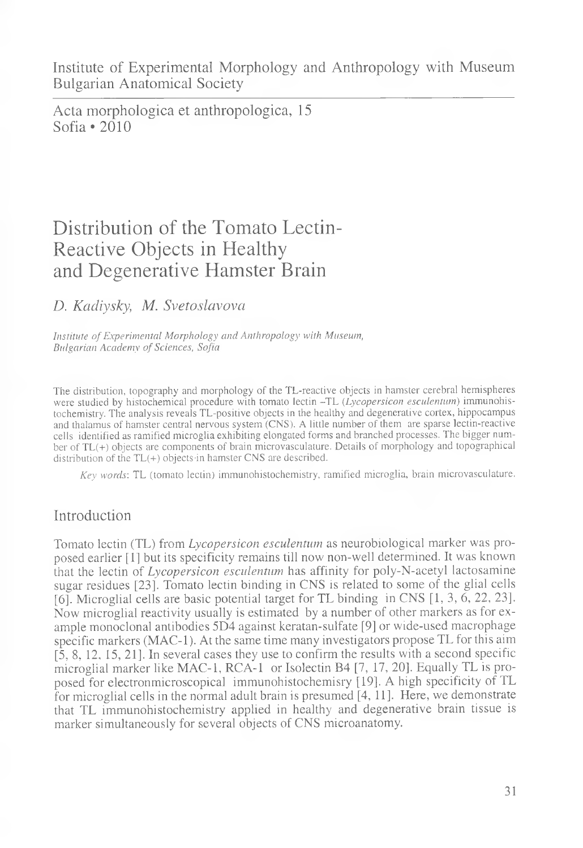Institute of Experimental Morphology and Anthropology with Museum Bulgarian Anatomical Society

Acta morphologica et anthropologica, 15 Sofia \*2010

# Distribution of the Tomato Lectin-Reactive Objects in Healthy and Degenerative Hamster Brain

## *D. Kadiysky, M. Svetoslavova*

*Institute of Experimental Morphology and Anthropology with Museum, Bulgarian Academy of Sciences, Sofia*

The distribution, topography and morphology of the TL-reactive objects in hamster cerebral hemispheres were studied by histochemical procedure with tomato lectin -TL (*Lycopersicon esculentum)* immunohistochemistry. The analysis reveals TL-positive objects in the healthy and degenerative cortex, hippocampus and thalamus of hamster central nervous system (CNS). A little number of them are sparse lectin-reactive cells identified as ramified microglia exhibiting elongated forms and branched processes. The bigger number of TL(+) objects are components of brain microvasculature. Details of morphology and topographical distribution of the TL(+) objects-in hamster CNS are described.

*Key words'.* TL (tomato lectin) immunohistochemistry, ramified microglia, brain microvasculature.

## Introduction

Tomato lectin (TL) from *Lycopersicon esculentum* as neurobiological marker was proposed earlier [1] but its specificity remains till now non-well determined. It was known that the lectin of *Lycopersicon esculentum* has affinity for poly-N-acetyl lactosamine sugar residues [23]. Tomato lectin binding in CNS is related to some of the glial cells [6]. Microglial cells are basic potential target for TL binding in CNS [1, 3, 6, 22, 23]. Now microglial reactivity usually is estimated by a number of other markers as for example monoclonal antibodies 5D4 against keratan-sulfate [9] or wide-used macrophage specific markers (MAC-1). At the same time many investigators propose TL for this aim [5, 8, 12, 15, 21]. In several cases they use to confirm the results with a second specific microglial marker like MAC-1, RCA-1 or Isolectin B4 [7, 17, 20]. Equally TL is proposed for electronmicroscopical immunohistochemisry [19]. A high specificity of TL for microglial cells in the normal adult brain is presumed [4, 11]. Here, we demonstrate that TL immunohistochemistry applied in healthy and degenerative brain tissue is marker simultaneously for several objects of CNS microanatomy.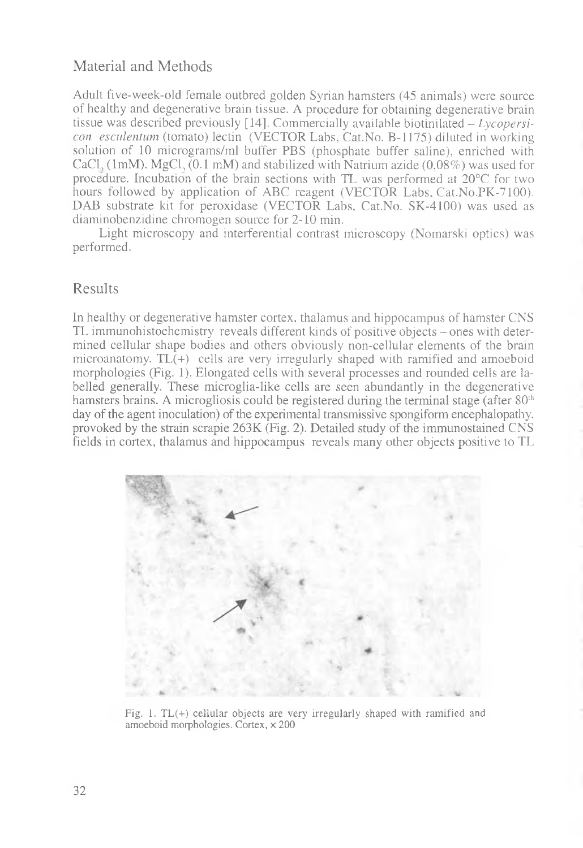## Material and Methods

Adult five-week-old female outbred golden Syrian hamsters (45 animals) were source of healthy and degenerative brain tissue. A procedure for obtaining degenerative brain tissue was described previously [14]. Commercially available biotinilated - *Lycopersicon esculentum* (tomato) lectin (VECTOR Labs, Cat.No. B-1175) diluted in working solution of 10 micrograms/ml buffer PBS (phosphate buffer saline), enriched with CaCl,  $(1 \text{mM})$ . MgCl,  $(0.1 \text{mM})$  and stabilized with Natrium azide  $(0.08\%)$  was used for procedure. Incubation of the brain sections with TL was performed at 20°C for two hours followed by application of ABC reagent (VECTOR Labs, Cat.No.PK-7100). DAB substrate kit for peroxidase (VECTOR Labs, Cat.No. SK-4100) was used as diaminobenzidine chromogen source for 2-10 min.

Light microscopy and interferential contrast microscopy (Nomarski optics) was performed.

## Results

In healthy or degenerative hamster cortex, thalamus and hippocampus of hamster CNS TL immunohistochemistry reveals different kinds of positive objects - ones with determined cellular shape bodies and others obviously non-cellular elements of the brain microanatomy. TL(+) cells are very irregularly shaped with ramified and amoeboid morphologies (Fig. 1). Elongated cells with several processes and rounded cells are labelled generally. These microglia-like cells are seen abundantly in the degenerative hamsters brains. A microgliosis could be registered during the terminal stage (after  $80<sup>th</sup>$ day of the agent inoculation) of the experimental transmissive spongiform encephalopathy, provoked by the strain scrapie 263K (Fig. 2). Detailed study of the immunostained CNS fields in cortex, thalamus and hippocampus reveals many other objects positive to TL



Fig. 1. TL(+) cellular objects are very irregularly shaped with ramified and amoeboid morphologies. Cortex, x 200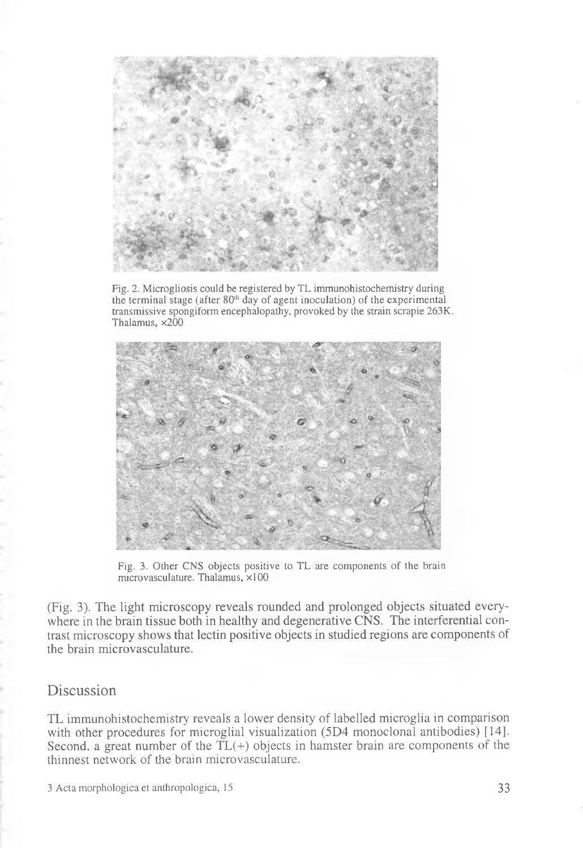

Fig. 2. Microgliosis could be registered by TL immunohistochemistry during the terminal stage (after  $80<sup>th</sup>$  day of agent inoculation) of the experimental transmissive spongiform encephalopathy, provoked by the strain scrapie 263K. Thalamus, x200



Fig. 3. Other CNS objects positive to TL are components of the brain microvasculature. Thalamus, ×100

(Fig. 3). The light microscopy reveals rounded and prolonged objects situated everywhere in the brain tissue both in healthy and degenerative CNS. The interferential contrast microscopy shows that lectin positive objects in studied regions are components of the brain microvasculature.

## **Discussion**

TL immunohistochemistry reveals a lower density of labelled microglia in comparison with other procedures for microglial visualization (5D4 monoclonal antibodies) [14]. Second, a great number of the  $TL(+)$  objects in hamster brain are components of the thinnest network of the brain microvasculature.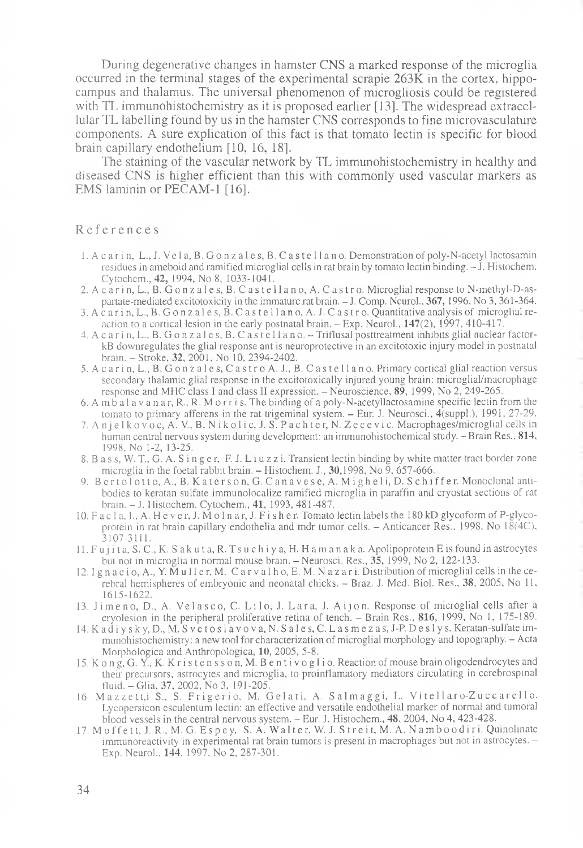During degenerative changes in hamster CNS a marked response of the microglia occurred in the terminal stages of the experimental scrapie  $263\overline{\text{K}}$  in the cortex, hippocampus and thalamus. The universal phenomenon of microgliosis could be registered with TL immunohistochemistry as it is proposed earlier [13]. The widespread extracellular TL labelling found by us in the hamster CNS corresponds to fine microvasculature components. A sure explication of this fact is that tomato lectin is specific for blood brain capillary endothelium [10, 16, 18].

The staining of the vascular network by TL immunohistochemistry in healthy and diseased CNS is higher efficient than this with commonly used vascular markers as EMS laminin or PECAM-1 [16].

#### References

- 1. A c a ri n, L., J. Vel a, B. Gonz al e s, В. C as tel 1 a no. Demonstration of poly-N-acetyl lactosamin residues in ameboid and ramified microglial cells in rat brain by tomato lectin binding. - J. Histochem. Cytochem., 42, 1994, No 8, 1033-1041.
- 2. A c a r in, L., B. G o n z a l e s, B. C a s t e l l a n o, A. C a s t r o. Microglial response to N-methyl-D-aspartate-mediated excitotoxicity in the immature rat brain. - J. Comp. Neurol., 367,1996, No 3, 361 -364.
- 3. A c a r i n, L., B. G o n z a l e s, B. C a s t e l l a n o, A. J. C a s t r o. Quantitative analysis of microglial reaction to a cortical lesion in the early postnatal brain. - Exp. Neurol., 147(2), 1997, 410-417.
- 4. A c a r i n, L., B. G o n z a l e s, B. C a s t e l l a n o. Triflusal posttreatment inhibits glial nuclear factorkB downregulates the glial response ant is neuroprotective in an excitotoxic injury model in postnatal brain. - Stroke, 32, 2001, No 10, 2394-2402.
- 5. A c ar i n, L., B. G on z ales, C astro A. J., B. C astellano. Primary cortical glial reaction versus secondary thalamic glial response in the excitotoxically injured young brain: microglial/macrophage response and MHC class I and class II expression. - Neuroscience, 89, 1999, No 2, 249-265.
- 6. A m b a l a v a n a r , R.,R. Mo r r i s . The binding of a poly-N-acetyllactosamine specific lectin from the tomato to primary afferens in the rat trigeminal system. - Eur. J. Neurosci., 4(suppl.), 1991, 27-29.
- 7. A n j е 1 k o v o c, A. V, B. N i k o 1 i c, J. S. P a c h t e r, N. Z е c e v i c. Macrophages/microglial cells in human central nervous system during development: an immunohistochemical study. - Brain Res., 814, 1998, No 1-2, 13-25.
- 8. B a s s, W. T., G. A. S in g e r, F. J. L i u z z i. Transient lectin binding by white matter tract border zone microglia in the foetal rabbit brain.  $-$  Histochem. J., 30,1998, No 9, 657-666.
- 9. B e r t o l o t t o, A., B. K a t e r s o n, G. C a n a v e s e, A. M i g h e l i, D. S c h i f f e r. Monoclonal antibodies to keratan sulfate immunolocalize ramified microglia in paraffin and cryostat sections of rat brain. - J. Histochem. Cytochem., 41, 1993, 481-487.
- 10. F ac 1 a, I., A. He v e r, J. M o 1 n ar, J. F i s h er. Tomato lectin labels the 180 kD glycoformof P-glycoprotein in rat brain capillary endothelia and mdr tumor cells. - Anticancer Res., 1998, No 18(4C), 3107-3111.
- 11. Fujita, S. C., K. S ak uta, R. Tsuchiya, H. H a manaka. Apolipoprotein E is found in astrocytes but not in microglia in normal mouse brain. - Neurosci. Res., 35, 1999, No 2, 122-133.
- 12. I g n a c i o, A., Y. Mull e r, M. C a r v a l h o, E. M. N a z a r i. Distribution of microglial cells in the cerebral hemispheres of embryonic and neonatal chicks. - Braz. J. Med. Biol. Res., 38, 2005, No 11, 1615-1622.
- 13. Jimeno, D., A. Velasco, C. Lilo, J. Lara, J. Aijon. Response of microglial cells after a cryolesion in the peripheral proliferative retina of tench. - Brain Res., 816, 1999, No 1, 175-189.
- 14. Kadiysky, D.,M. S v e t o s l a v o v a , N. Sal es, C. L a s m e z a s , J-P. D e s 1 y s. Keratan-sulfate immunohistochemistry: a new tool for characterization of microglial morphology and topography. - Acta Morphologica and Anthropologica, 10, 2005, 5-8.
- 15. Ko ng, G. Y., K. K r i s t en s s on, M. B en ti v o gl i o. Reaction of mouse brain oligodendrocytes and their precursors, astrocytes and microglia, to proinflamatory mediators circulating in cerebrospinal fluid. - Glia, 37, 2002, No 3, 191-205.
- 16. Mazzett, i S., S. Frigerio, M. Gelati, A. Salmaggi, L. Vitellaro-Zuccarello. Lycopersicon esculentum lectin: an effective and versatile endothelial marker of normal and tumoral blood vessels in the central nervous system. - Eur. J. Histochem., 48, 2004, No 4, 423-428.
- 17. Moffett, J. R., M. G. Espey, S. A. Walter, W. J. Streit, M. A. Namboodiri. Quinolinate immunoreactivity in experimental rat brain tumors is present in macrophages but not in astrocytes. -Exp. Neurol., **144,** 1997, No 2, 287-301.